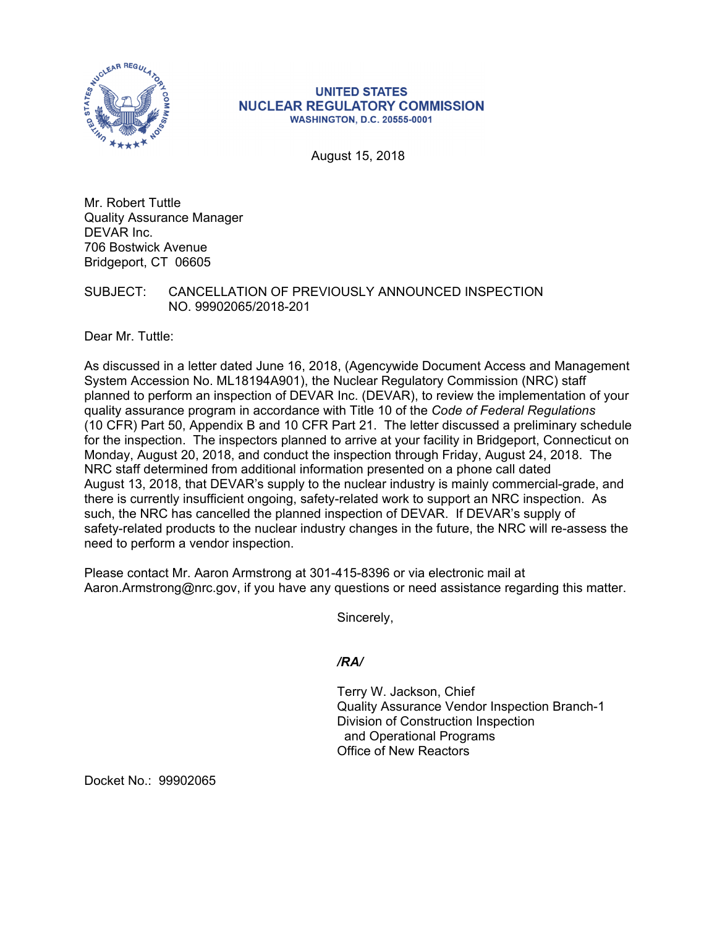

## **UNITED STATES NUCLEAR REGULATORY COMMISSION WASHINGTON, D.C. 20555-0001**

August 15, 2018

Mr. Robert Tuttle Quality Assurance Manager DEVAR Inc. 706 Bostwick Avenue Bridgeport, CT 06605

SUBJECT: CANCELLATION OF PREVIOUSLY ANNOUNCED INSPECTION NO. 99902065/2018-201

Dear Mr. Tuttle:

As discussed in a letter dated June 16, 2018, (Agencywide Document Access and Management System Accession No. ML18194A901), the Nuclear Regulatory Commission (NRC) staff planned to perform an inspection of DEVAR Inc. (DEVAR), to review the implementation of your quality assurance program in accordance with Title 10 of the *Code of Federal Regulations*  (10 CFR) Part 50, Appendix B and 10 CFR Part 21. The letter discussed a preliminary schedule for the inspection. The inspectors planned to arrive at your facility in Bridgeport, Connecticut on Monday, August 20, 2018, and conduct the inspection through Friday, August 24, 2018. The NRC staff determined from additional information presented on a phone call dated August 13, 2018, that DEVAR's supply to the nuclear industry is mainly commercial-grade, and there is currently insufficient ongoing, safety-related work to support an NRC inspection. As such, the NRC has cancelled the planned inspection of DEVAR. If DEVAR's supply of safety-related products to the nuclear industry changes in the future, the NRC will re-assess the need to perform a vendor inspection.

Please contact Mr. Aaron Armstrong at 301-415-8396 or via electronic mail at Aaron.Armstrong@nrc.gov, if you have any questions or need assistance regarding this matter.

Sincerely,

*/RA/* 

Terry W. Jackson, Chief Quality Assurance Vendor Inspection Branch-1 Division of Construction Inspection and Operational Programs Office of New Reactors

Docket No.: 99902065